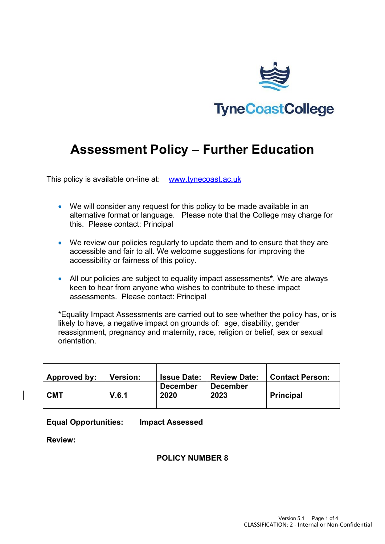

# **Assessment Policy – Further Education**

This policy is available on-line at: [www.tynecoast.ac.uk](http://www.tynecoast.ac.uk/)

- We will consider any request for this policy to be made available in an alternative format or language. Please note that the College may charge for this. Please contact: Principal
- We review our policies regularly to update them and to ensure that they are accessible and fair to all. We welcome suggestions for improving the accessibility or fairness of this policy.
- All our policies are subject to equality impact assessments**\***. We are always keen to hear from anyone who wishes to contribute to these impact assessments. Please contact: Principal

\*Equality Impact Assessments are carried out to see whether the policy has, or is likely to have, a negative impact on grounds of: age, disability, gender reassignment, pregnancy and maternity, race, religion or belief, sex or sexual orientation.

| Approved by: | <b>Version:</b> | <b>Issue Date:</b>      | <b>Review Date:</b>     | <b>Contact Person:</b> |
|--------------|-----------------|-------------------------|-------------------------|------------------------|
| <b>CMT</b>   | V.6.1           | <b>December</b><br>2020 | <b>December</b><br>2023 | <b>Principal</b>       |

### **Equal Opportunities: Impact Assessed**

**Review:**

# **POLICY NUMBER 8**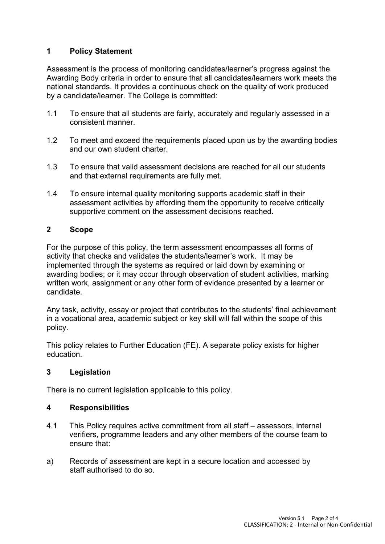# **1 Policy Statement**

Assessment is the process of monitoring candidates/learner's progress against the Awarding Body criteria in order to ensure that all candidates/learners work meets the national standards. It provides a continuous check on the quality of work produced by a candidate/learner. The College is committed:

- 1.1 To ensure that all students are fairly, accurately and regularly assessed in a consistent manner.
- 1.2 To meet and exceed the requirements placed upon us by the awarding bodies and our own student charter.
- 1.3 To ensure that valid assessment decisions are reached for all our students and that external requirements are fully met.
- 1.4 To ensure internal quality monitoring supports academic staff in their assessment activities by affording them the opportunity to receive critically supportive comment on the assessment decisions reached.

### **2 Scope**

For the purpose of this policy, the term assessment encompasses all forms of activity that checks and validates the students/learner's work. It may be implemented through the systems as required or laid down by examining or awarding bodies; or it may occur through observation of student activities, marking written work, assignment or any other form of evidence presented by a learner or candidate.

Any task, activity, essay or project that contributes to the students' final achievement in a vocational area, academic subject or key skill will fall within the scope of this policy.

This policy relates to Further Education (FE). A separate policy exists for higher education.

### **3 Legislation**

There is no current legislation applicable to this policy.

## **4 Responsibilities**

- 4.1 This Policy requires active commitment from all staff assessors, internal verifiers, programme leaders and any other members of the course team to ensure that:
- a) Records of assessment are kept in a secure location and accessed by staff authorised to do so.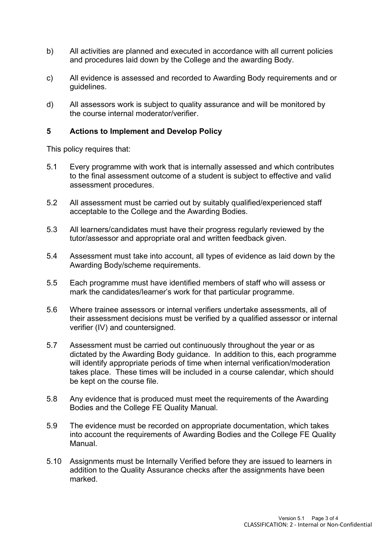- b) All activities are planned and executed in accordance with all current policies and procedures laid down by the College and the awarding Body.
- c) All evidence is assessed and recorded to Awarding Body requirements and or guidelines.
- d) All assessors work is subject to quality assurance and will be monitored by the course internal moderator/verifier.

## **5 Actions to Implement and Develop Policy**

This policy requires that:

- 5.1 Every programme with work that is internally assessed and which contributes to the final assessment outcome of a student is subject to effective and valid assessment procedures.
- 5.2 All assessment must be carried out by suitably qualified/experienced staff acceptable to the College and the Awarding Bodies.
- 5.3 All learners/candidates must have their progress regularly reviewed by the tutor/assessor and appropriate oral and written feedback given.
- 5.4 Assessment must take into account, all types of evidence as laid down by the Awarding Body/scheme requirements.
- 5.5 Each programme must have identified members of staff who will assess or mark the candidates/learner's work for that particular programme.
- 5.6 Where trainee assessors or internal verifiers undertake assessments, all of their assessment decisions must be verified by a qualified assessor or internal verifier (IV) and countersigned.
- 5.7 Assessment must be carried out continuously throughout the year or as dictated by the Awarding Body guidance. In addition to this, each programme will identify appropriate periods of time when internal verification/moderation takes place. These times will be included in a course calendar, which should be kept on the course file.
- 5.8 Any evidence that is produced must meet the requirements of the Awarding Bodies and the College FE Quality Manual.
- 5.9 The evidence must be recorded on appropriate documentation, which takes into account the requirements of Awarding Bodies and the College FE Quality Manual.
- 5.10 Assignments must be Internally Verified before they are issued to learners in addition to the Quality Assurance checks after the assignments have been marked.